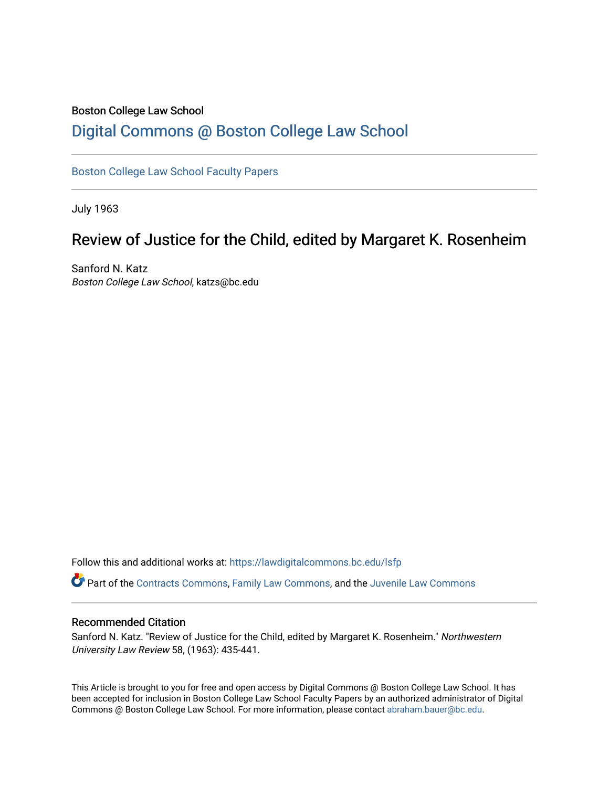### Boston College Law School [Digital Commons @ Boston College Law School](https://lawdigitalcommons.bc.edu/)

### [Boston College Law School Faculty Papers](https://lawdigitalcommons.bc.edu/lsfp)

July 1963

## Review of Justice for the Child, edited by Margaret K. Rosenheim

Sanford N. Katz Boston College Law School, katzs@bc.edu

Follow this and additional works at: [https://lawdigitalcommons.bc.edu/lsfp](https://lawdigitalcommons.bc.edu/lsfp?utm_source=lawdigitalcommons.bc.edu%2Flsfp%2F798&utm_medium=PDF&utm_campaign=PDFCoverPages) 

Part of the [Contracts Commons](http://network.bepress.com/hgg/discipline/591?utm_source=lawdigitalcommons.bc.edu%2Flsfp%2F798&utm_medium=PDF&utm_campaign=PDFCoverPages), [Family Law Commons](http://network.bepress.com/hgg/discipline/602?utm_source=lawdigitalcommons.bc.edu%2Flsfp%2F798&utm_medium=PDF&utm_campaign=PDFCoverPages), and the [Juvenile Law Commons](http://network.bepress.com/hgg/discipline/851?utm_source=lawdigitalcommons.bc.edu%2Flsfp%2F798&utm_medium=PDF&utm_campaign=PDFCoverPages)

#### Recommended Citation

Sanford N. Katz. "Review of Justice for the Child, edited by Margaret K. Rosenheim." Northwestern University Law Review 58, (1963): 435-441.

This Article is brought to you for free and open access by Digital Commons @ Boston College Law School. It has been accepted for inclusion in Boston College Law School Faculty Papers by an authorized administrator of Digital Commons @ Boston College Law School. For more information, please contact [abraham.bauer@bc.edu.](mailto:abraham.bauer@bc.edu)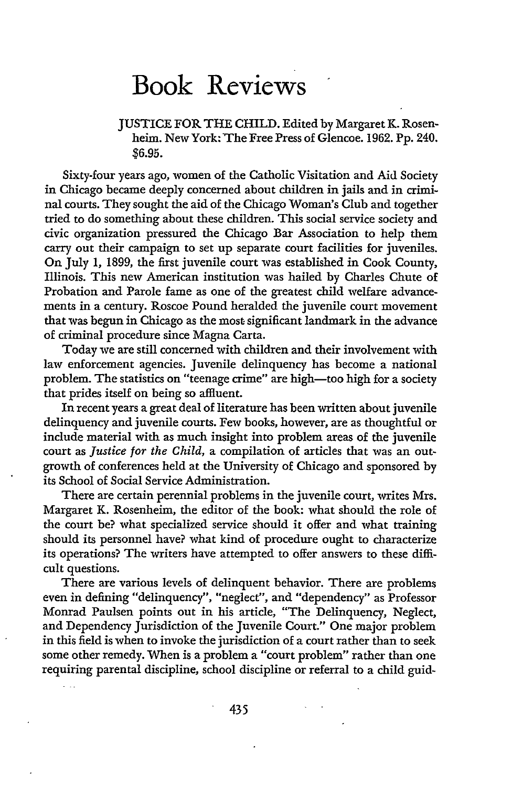# Book Reviews

JUSTICE FOR THE CHILD. Edited by Margaret K. Rosenheim. New York: The Free Press of Glencoe. 1962. Pp. 240. **\$6.95.**

Sixty-four years ago, women of the Catholic Visitation and Aid Society in Chicago became deeply concerned about children in jails and in criminal courts. They sought the aid of the Chicago Woman's Club and together tried to do something about these children. This social service society and civic organization pressured the Chicago Bar Association to help them carry out their campaign to set up separate court facilities for juveniles. On July **1, 1899,** the first juvenile court was established in Cook County, Illinois. This new American institution was hailed **by** Charles Chute of Probation and Parole fame as one of the greatest child welfare advancements in a century. Roscoe Pound heralded the juvenile court movement that was begun in Chicago as the most significant landmark in the advance of criminal procedure since Magna Carta.

Today we are still concerned with children and their involvement with law enforcement agencies. Juvenile delinquency has become a national problem. The statistics on "teenage crime" are high-too high for a society that prides itself on being so affluent.

In recent years a great deal of literature has been written about juvenile delinquency and juvenile courts. Few books, however, are as thoughtful or include material with as much insight into problem areas of the juvenile court as *Justice for the Child,* a compilation of articles that was an outgrowth of conferences held at the University of Chicago and sponsored **by** its School of Social Service Administration.

There are certain perennial problems in the juvenile court, writes Mrs. Margaret K. Rosenheim, the editor of the book: what should the role of the court be? what specialized service should it offer and what training should its personnel have? what kind of procedure ought to characterize its operations? The writers have attempted to offer answers to these difficult questions.

There are various levels of delinquent behavior. There are problems even in defining "delinquency", "neglect", and "dependency" as Professor Monrad Paulsen points out in his article, "The Delinquency, Neglect, and Dependency Jurisdiction of the Juvenile Court." One major problem in this field is when to invoke the jurisdiction of a court rather than to seek some other remedy. When is a problem a "court problem" rather than one requiring parental discipline, school discipline or referral to a child guid-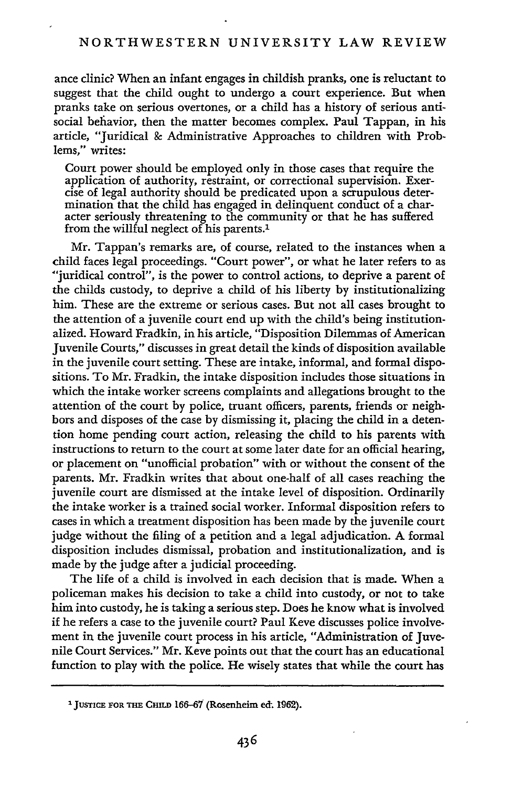ance clinic? When an infant engages in childish pranks, one is reluctant to suggest that the child ought to undergo a court experience. But when pranks take on serious overtones, or a child has a history of serious antisocial behavior, then the matter becomes complex. Paul Tappan, in his article, "Juridical 8c Administrative Approaches to children with Problems," writes:

Court power should be employed only in those cases that require the application of authority, restraint, or correctional supervision. Exercise of legal authority should be predicated upon a scrupulous determination that the child has engaged in delinquent conduct of a character seriously threatening to the community or that he has suffered from the willful neglect of his parents.'

Mr. Tappan's remarks are, of course, related to the instances when a child faces legal proceedings. "Court power", or what he later refers to as "juridical control", is the power to control actions, to deprive a parent of the childs custody, to deprive a child of his liberty by institutionalizing him. These are the extreme or serious cases. But not all cases brought to the attention of a juvenile court end up with the child's being institutionalized. Howard Fradkin, in his article, "Disposition Dilemmas of American Juvenile Courts," discusses in great detail the kinds of disposition available in the juvenile court setting. These are intake, informal, and formal dispositions. To Mr. Fradkin, the intake disposition includes those situations in which the intake worker screens complaints and allegations brought to the attention of the court by police, truant officers, parents, friends or neighbors and disposes of the case by dismissing it, placing the child in a detention home pending court action, releasing the child to his parents with instructions to return to the court at some later date for an official hearing, or placement on "unofficial probation" with or without the consent of the parents. Mr. Fradkin writes that about one-half of all cases reaching the juvenile court are dismissed at the intake level of disposition. Ordinarily the intake worker is a trained social worker. Informal disposition refers to cases in which a treatment disposition has been made by the juvenile court judge without the filing of a petition and a legal adjudication. A formal disposition includes dismissal, probation and institutionalization, and is made by the judge after a judicial proceeding.

The life of a child is involved in each decision that is made. When a policeman makes his decision to take a child into custody, or not to take him into custody, he is taking a serious step. Does he know what is involved if he refers a case to the juvenile court? Paul Keve discusses police involvement in the juvenile court process in his article, "Administration of Juvenile Court Services." Mr. Keve points out that the court has an educational function to play with the police. He wisely states that while the court has

**<sup>1</sup> JUSTICE** FOR **THE CHILD** 166-67 (Rosenheim ect. 1962).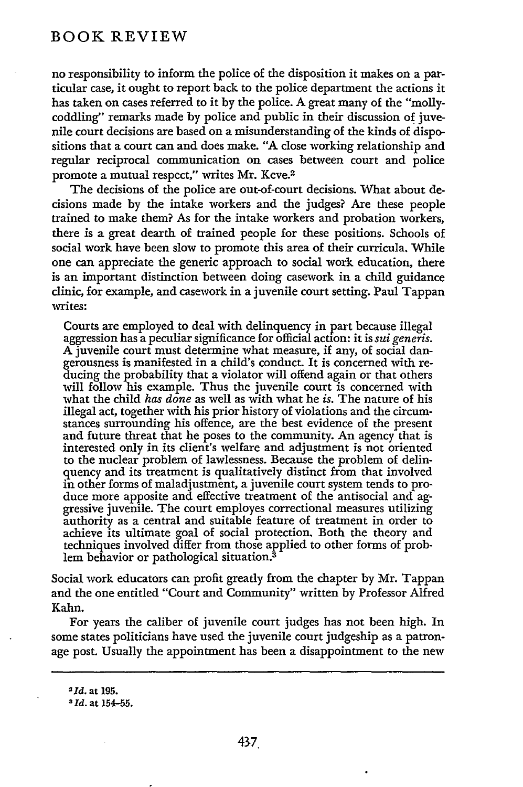### BOOK REVIEW

no responsibility to inform the police of the disposition it makes on a particular case, it ought to report back to the police department the actions it has taken on cases referred to it by the police. **A** great many of the "mollycoddling" remarks made by police and public in their discussion of juvenile court decisions are based on a misunderstanding of the kinds of dispositions that a court can and does make. **"A** close working relationship and regular reciprocal communication on cases between court and police promote a mutual respect," writes Mr. Keve.<sup>2</sup>

The decisions of the police are out-of-court decisions. What about decisions made by the intake workers and the judges? Are these people trained to make them? As for the intake workers and probation workers, there is a great dearth of trained people for these positions. Schools of social work have been slow to promote this area of their curricula. While one can appreciate the generic approach to social work education, there is an important distinction between doing casework in a child guidance clinic, for example, and casework in a juvenile court setting. Paul Tappan writes:

Courts are employed to deal with delinquency in part because illegal aggression has a peculiar significance for official action: it is *sui geners.* A juvenile court must determine what measure, if any, of social dangerousness is manifested in a child's conduct. It is concerned with reducing the probability that a violator will offend again or that others will follow his example. Thus the juvenile court is concerned with what the child *has done* as well as with what he *is.* The nature of his illegal act, together with his prior history of violations and the circumstances surrounding his offence, are the best evidence of the present and future threat that he poses to the community. An agency that is interested only in its client's welfare and adjustment is not oriented to the nuclear problem of lawlessness. Because the problem of delinquency and its treatment is qualitatively distinct from that involved in other forms of maladjustment, a juvenile court system tends to produce more apposite and effective treatment of the antisocial and aggressive juvenile. The court employes correctional measures utilizing authority as a central and suitable feature of treatment in order to achieve its ultimate goal of social protection. Both the theory and techniques involved differ from those applied to other forms of problem behavior or pathological situation.3

Social work educators can profit greatly from the chapter by Mr. Tappan and the one entitled "Court and Community" written by Professor Alfred Kahn.

For years the caliber of juvenile court judges has not been high. In some states politicians have used the juvenile court judgeship as a patronage post. Usually the appointment has been a disappointment to the new

*<sup>2</sup>***Id.** at 195.

**<sup>3</sup> Id.** at **154-55.**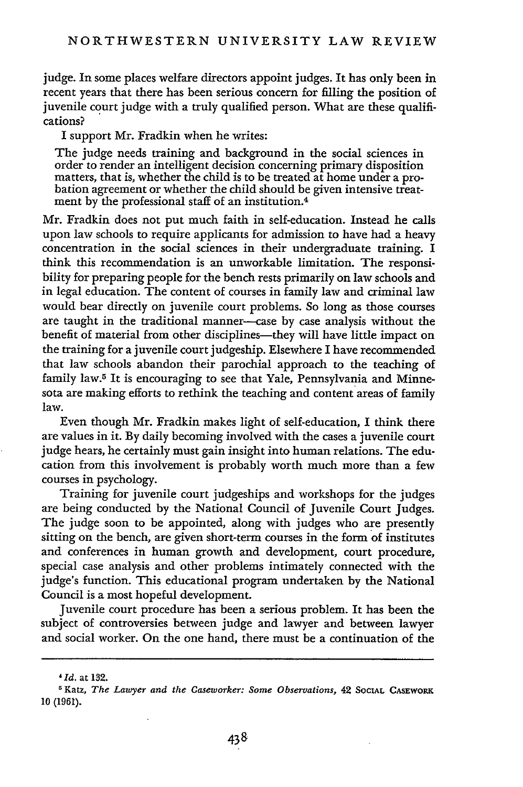judge. In some places welfare directors appoint judges. It has only been in recent years that there has been serious concern for filling the position of juvenile court judge with a truly qualified person. What are these qualifications?

I support Mr. Fradkin when he writes:

The judge needs training and background in the social sciences in order to render an intelligent decision concerning primary disposition bation agreement or whether the child should be given intensive treatment by the professional staff of an institution.<sup>4</sup>

Mr. Fradkin does not put much faith in self-education. Instead he calls upon law schools to require applicants for admission to have had a heavy concentration in the social sciences in their undergraduate training. I think this recommendation is an unworkable limitation. The responsibility for preparing people for the bench rests primarily on law schools and in legal education. The content of courses in family law and criminal law would bear directly on juvenile court problems. So long as those courses are taught in the traditional manner-case by case analysis without the benefit of material from other disciplines-they will have little impact on the training for a juvenile court judgeship. Elsewhere I have recommended that law schools abandon their parochial approach to the teaching of family law.5 It is encouraging to see that Yale, Pennsylvania and Minnesota are making efforts to rethink the teaching and content areas of family law.

Even though Mr. Fradkin makes light of self-education, I think there are values in it. By daily becoming involved with the cases a juvenile court judge hears, he certainly must gain insight into human relations. The education from this involvement is probably worth much more than a few courses in psychology.

Training for juvenile court judgeships and workshops for the judges are being conducted by the National Council of Juvenile Court Judges. The judge soon to be appointed, along with judges who are presently sitting on the bench, are given short-term courses in the form of institutes and conferences in human growth and development, court procedure, special case analysis and other problems intimately connected with the judge's function. This educational program undertaken by the National Council is a most hopeful development.

Juvenile court procedure has been a serious problem. It has been the subject of controversies between judge and lawyer and between lawyer and social worker. On the one hand, there must be a continuation of the

*Id.* at 132.

Katz, *The Lawyer and the Caseworker: Some Observations,* 42 **SOCIAL** CASEWORK 10 (1961).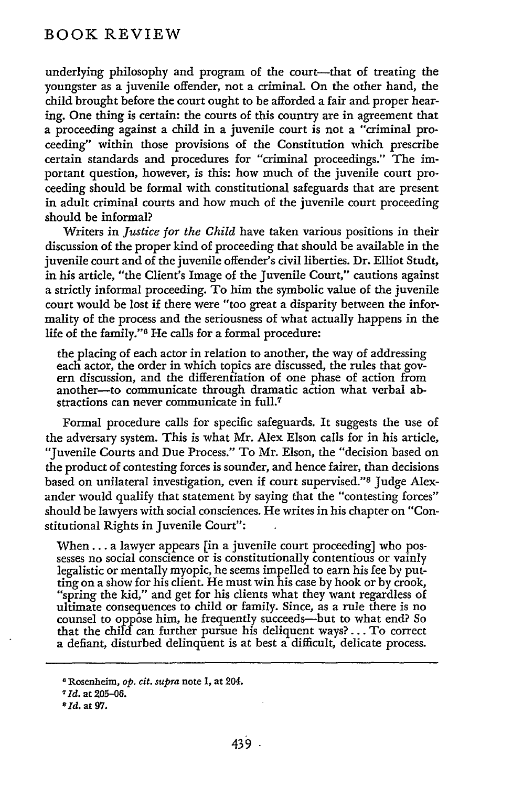### BOOK REVIEW

underlying philosophy and program of the court-that of treating the youngster as a juvenile offender, not a criminal. On the other hand, the child brought before the court ought to be afforded a fair and proper hearing. One thing is certain: the courts of this country are in agreement that a proceeding against a child in a juvenile court is not a "criminal proceeding" within those provisions of the Constitution which prescribe certain standards and procedures for "criminal proceedings." The important question, however, is this: how much of the juvenile court proceeding should be formal with constitutional safeguards that are present in adult criminal courts and how much of the juvenile court proceeding should be informal?

Writers in *Justice for the Child* have taken various positions in their discussion of the proper kind of proceeding that should be available in the juvenile court and of the juvenile offender's civil liberties. Dr. Elliot Studt, in his article, "the Client's Image of the Juvenile Court," cautions against a strictly informal proceeding. To him the symbolic value of the juvenile court would be lost if there were "too great a disparity between the informality of the process and the seriousness of what actually happens in the life of the family."6 He calls for a formal procedure:

the placing of each actor in relation to another, the way of addressing each actor, the order in which topics are discussed, the rules that govern discussion, and the differentiation of one phase of action from another-to communicate through dramatic action what verbal abstractions can never communicate in full.7

Formal procedure calls for specific safeguards. It suggests the use of the adversary system. This is what Mr. Alex Elson calls for in his article, "Juvenile Courts and Due Process." To Mr. Elson, the "decision based on the product of contesting forces is sounder, and hence fairer, than decisions based on unilateral investigation, even if court supervised."s Judge Alexander would qualify that statement by saying that the "contesting forces" should be lawyers with social consciences. He writes in his chapter on "Constitutional Rights in Juvenile Court":

When... a lawyer appears [in a juvenile court proceeding] who possesses no social conscience or is constitutionally contentious or vainly legalistic or mentally myopic, he seems impelled to earn his fee by putting on a show for his client. He must win his case by hook or by crook, "spring the kid," and get for his clients what they want regardless of ultimate consequences to child or family. Since, as a rule there is no counsel to oppose him, he frequently succeeds-but to what end? So that the child can further pursue his deliquent ways? **...** To correct a defiant, disturbed delinquent is at best a difficult, delicate process.

**<sup>\*</sup>** Rosenheim, *op. cit. supra* note **1,** at 204.

**<sup>\*</sup> Id.** at **205-06.**

**aid.** at **97.**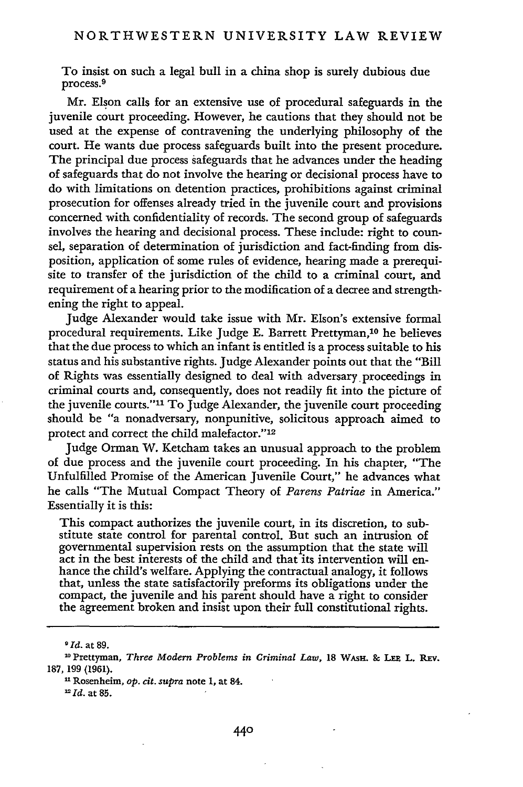To insist on such a legal bull in a china shop is surely dubious due process.<sup>9</sup>

Mr. Elson calls for an extensive use of procedural safeguards in the juvenile court proceeding. However, he cautions that they should not be used at the expense of contravening the underlying philosophy of the court. He wants due process safeguards built into the present procedure. The principal due process safeguards that he advances under the heading of safeguards that do not involve the hearing or decisional process have to do with limitations on detention practices, prohibitions against criminal prosecution for offenses already tried in the juvenile court and provisions concerned with confidentiality of records. The second group of safeguards involves the hearing and decisional process. These include: right to counsel, separation of determination of jurisdiction and fact-finding from disposition, application of some rules of evidence, hearing made a prerequisite to transfer of the jurisdiction of the child to a criminal court, and requirement of a hearing prior to the modification of a decree and strengthening the right to appeal.

Judge Alexander would take issue with Mr. Elson's extensive formal procedural requirements. Like Judge E. Barrett Prettyman, 10 he believes that the due process to which an infant is entitled is a process suitable to his status and his substantive rights. Judge Alexander points out that the "Bill of Rights was essentially designed to deal with adversary. proceedings in criminal courts and, consequently, does not readily fit into the picture of the juvenile courts."<sup>11</sup> To Judge Alexander, the juvenile court proceeding should be "a nonadversary, nonpunitive, solicitous approach aimed to protect and correct the child malefactor."'<sup>12</sup>

Judge Orman W. Ketcham takes an unusual approach to the problem of due process and the juvenile court proceeding. In his chapter, "The Unfulfilled Promise of the American Juvenile Court," he advances what he calls "The Mutual Compact Theory of *Parens Patriae* in America." Essentially it is this:

This compact authorizes the juvenile court, in its discretion, to substitute state control for parental control. But such an intrusion of governmental supervision rests on the assumption that the state will act in the best interests of the child and that its intervention will enhance the child's welfare. Applying the contractual analogy, it follows that, unless the state satisfactorily preforms its obligations under the compact, the juvenile and his parent should have a right to consider the agreement broken and insist upon their full constitutional rights.

*9Id.* at **89.**

*-Id.* at **85.**

**<sup>20</sup>** Prettyman, *Three Modern Problems in Criminal Law,* **18** WAsH. **& LEE** L. **REv. 187, 199** (1961).

<sup>1</sup>Rosenheim, *op. cit. supra* note 1, at 84.